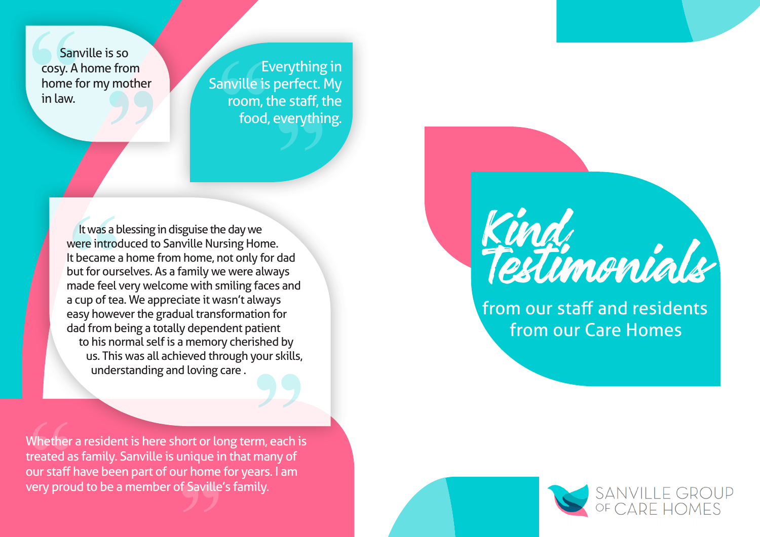Sanville is so cosy. A home from home for my mother in law.

Everything in Sanville is perfect. My room, the staff, the food, everything.

 It was a blessing in disguise the day we were introduced to Sanville Nursing Home. It became a home from home, not only for dad but for ourselves. As a family we were always made feel very welcome with smiling faces and a cup of tea. We appreciate it wasn't always easy however the gradual transformation for dad from being a totally dependent patient to his normal self is a memory cherished by us. This was all achieved through your skills, understanding and loving care .

Whether a resident is here short or long term, each is treated as family. Sanville is unique in that many of our staff have been part of our home for years. I am very proud to be a member of Saville's family.



from our staff and residents from our Care Homes